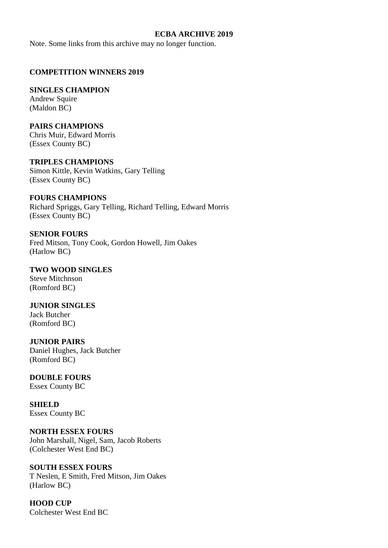#### **ECBA ARCHIVE 2019**

Note. Some links from this archive may no longer function.

## **COMPETITION WINNERS 2019**

#### **SINGLES CHAMPION**

Andrew Squire (Maldon BC)

## **PAIRS CHAMPIONS**

Chris Muir, Edward Morris (Essex County BC)

# **TRIPLES CHAMPIONS**

Simon Kittle, Kevin Watkins, Gary Telling (Essex County BC)

## **FOURS CHAMPIONS**

Richard Spriggs, Gary Telling, Richard Telling, Edward Morris (Essex County BC)

## **SENIOR FOURS**

Fred Mitson, Tony Cook, Gordon Howell, Jim Oakes (Harlow BC)

## **TWO WOOD SINGLES**

Steve Mitchnson (Romford BC)

## **JUNIOR SINGLES**

Jack Butcher (Romford BC)

#### **JUNIOR PAIRS**

Daniel Hughes, Jack Butcher (Romford BC)

# **DOUBLE FOURS**

Essex County BC

# **SHIELD**

Essex County BC

## **NORTH ESSEX FOURS**

John Marshall, Nigel, Sam, Jacob Roberts (Colchester West End BC)

## **SOUTH ESSEX FOURS**

T Neslen, E Smith, Fred Mitson, Jim Oakes (Harlow BC)

**HOOD CUP** Colchester West End BC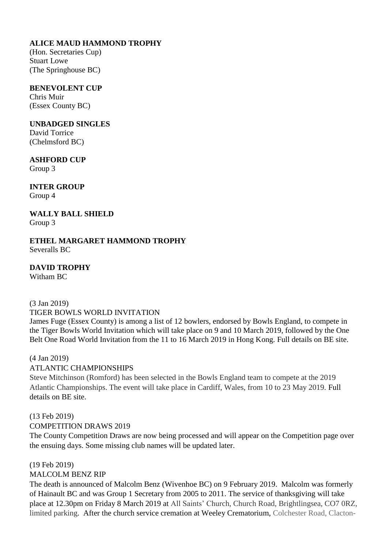## **ALICE MAUD HAMMOND TROPHY**

(Hon. Secretaries Cup) Stuart Lowe (The Springhouse BC)

## **BENEVOLENT CUP**

Chris Muir (Essex County BC)

## **UNBADGED SINGLES**

David Torrice (Chelmsford BC)

# **ASHFORD CUP**

Group 3

**INTER GROUP** Group 4

## **WALLY BALL SHIELD** Group 3

**ETHEL MARGARET HAMMOND TROPHY** Severalls BC

# **DAVID TROPHY**

Witham BC

# (3 Jan 2019)

# TIGER BOWLS WORLD INVITATION

James Fuge (Essex County) is among a list of 12 bowlers, endorsed by Bowls England, to compete in the Tiger Bowls World Invitation which will take place on 9 and 10 March 2019, followed by the One Belt One Road World Invitation from the 11 to 16 March 2019 in Hong Kong. Full details on BE site.

## (4 Jan 2019) ATLANTIC CHAMPIONSHIPS

Steve Mitchinson (Romford) has been selected in the Bowls England team to compete at the 2019 Atlantic Championships. The event will take place in Cardiff, Wales, from 10 to 23 May 2019. Full details on BE site.

# (13 Feb 2019) COMPETITION DRAWS 2019

The County Competition Draws are now being processed and will appear on the Competition page over the ensuing days. Some missing club names will be updated later.

#### (19 Feb 2019) MALCOLM BENZ RIP

The death is announced of Malcolm Benz (Wivenhoe BC) on 9 February 2019. Malcolm was formerly of Hainault BC and was Group 1 Secretary from 2005 to 2011. The service of thanksgiving will take place at 12.30pm on Friday 8 March 2019 at All Saints' Church, Church Road, Brightlingsea, CO7 0RZ, limited parking. After the church service cremation at Weeley Crematorium, Colchester Road, Clacton-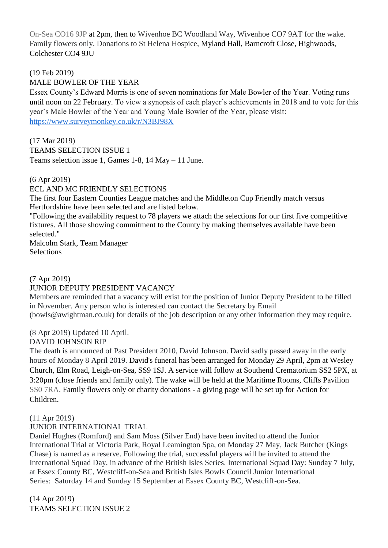On-Sea CO16 9JP at 2pm, then to Wivenhoe BC Woodland Way, Wivenhoe CO7 9AT for the wake. Family flowers only. Donations to St Helena Hospice, [Myland Hall, Barncroft Close, Highwoods,](https://www.bing.com/local?lid=YN1013x250469700&id=YN1013x250469700&q=St.+Helena+Hospice&name=St.+Helena+Hospice&cp=51.90775680541992%7e0.9147760272026062&ppois=51.90775680541992_0.9147760272026062_St.+Helena+Hospice&FORM=SNAPST)  [Colchester CO4 9JU](https://www.bing.com/local?lid=YN1013x250469700&id=YN1013x250469700&q=St.+Helena+Hospice&name=St.+Helena+Hospice&cp=51.90775680541992%7e0.9147760272026062&ppois=51.90775680541992_0.9147760272026062_St.+Helena+Hospice&FORM=SNAPST)

(19 Feb 2019)

MALE BOWLER OF THE YEAR

Essex County's Edward Morris is one of seven nominations for Male Bowler of the Year. Voting runs until noon on 22 February. To view a synopsis of each player's achievements in 2018 and to vote for this year's Male Bowler of the Year and Young Male Bowler of the Year, please visit: <https://www.surveymonkey.co.uk/r/N3BJ98X>

(17 Mar 2019) TEAMS SELECTION ISSUE 1 Teams selection issue 1, Games 1-8, 14 May – 11 June.

## (6 Apr 2019)

## ECL AND MC FRIENDLY SELECTIONS

The first four Eastern Counties League matches and the Middleton Cup Friendly match versus Hertfordshire have been selected and are listed below.

"Following the availability request to 78 players we attach the selections for our first five competitive fixtures. All those showing commitment to the County by making themselves available have been selected."

Malcolm Stark, Team Manager Selections

## (7 Apr 2019)

## JUNIOR DEPUTY PRESIDENT VACANCY

Members are reminded that a vacancy will exist for the position of Junior Deputy President to be filled in November. Any person who is interested can contact the Secretary by Email

(bowls@awightman.co.uk) for details of the job description or any other information they may require.

(8 Apr 2019) Updated 10 April.

## DAVID JOHNSON RIP

The death is announced of Past President 2010, David Johnson. David sadly passed away in the early hours of Monday 8 April 2019. David's funeral has been arranged for Monday 29 April, 2pm at Wesley Church, Elm Road, Leigh-on-Sea, SS9 1SJ. A service will follow at Southend Crematorium SS2 5PX, at 3:20pm (close friends and family only). The wake will be held at the Maritime Rooms, Cliffs Pavilion SS0 7RA. Family flowers only or charity donations - a giving page will be set up for Action for Children.

#### (11 Apr 2019)

## JUNIOR INTERNATIONAL TRIAL

Daniel Hughes (Romford) and Sam Moss (Silver End) have been invited to attend the Junior International Trial at Victoria Park, Royal Leamington Spa, on Monday 27 May, Jack Butcher (Kings Chase) is named as a reserve. Following the trial, successful players will be invited to attend the International Squad Day, in advance of the British Isles Series. International Squad Day: Sunday 7 July, at Essex County BC, Westcliff-on-Sea and British Isles Bowls Council Junior International Series: Saturday 14 and Sunday 15 September at Essex County BC, Westcliff-on-Sea.

(14 Apr 2019) TEAMS SELECTION ISSUE 2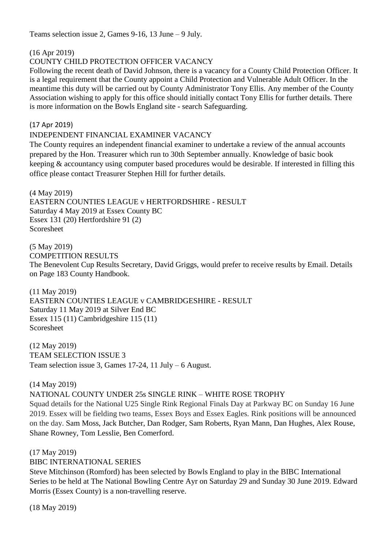Teams selection issue 2, Games 9-16, 13 June – 9 July.

(16 Apr 2019)

## COUNTY CHILD PROTECTION OFFICER VACANCY

Following the recent death of David Johnson, there is a vacancy for a County Child Protection Officer. It is a legal requirement that the County appoint a Child Protection and Vulnerable Adult Officer. In the meantime this duty will be carried out by County Administrator Tony Ellis. Any member of the County Association wishing to apply for this office should initially contact Tony Ellis for further details. There is more information on the Bowls England site - search Safeguarding.

(17 Apr 2019)

## INDEPENDENT FINANCIAL EXAMINER VACANCY

The County requires an independent financial examiner to undertake a review of the annual accounts prepared by the Hon. Treasurer which run to 30th September annually. Knowledge of basic book keeping & accountancy using computer based procedures would be desirable. If interested in filling this office please contact Treasurer Stephen Hill for further details.

(4 May 2019)

EASTERN COUNTIES LEAGUE v HERTFORDSHIRE - RESULT Saturday 4 May 2019 at Essex County BC Essex 131 (20) Hertfordshire 91 (2) Scoresheet

(5 May 2019) COMPETITION RESULTS The Benevolent Cup Results Secretary, David Griggs, would prefer to receive results by Email. Details on Page 183 County Handbook.

(11 May 2019) EASTERN COUNTIES LEAGUE v CAMBRIDGESHIRE - RESULT Saturday 11 May 2019 at Silver End BC Essex 115 (11) Cambridgeshire 115 (11) Scoresheet

(12 May 2019) TEAM SELECTION ISSUE 3 Team selection issue 3, Games 17-24, 11 July – 6 August.

(14 May 2019)

NATIONAL COUNTY UNDER 25s SINGLE RINK – WHITE ROSE TROPHY

Squad details for the National U25 Single Rink Regional Finals Day at Parkway BC on Sunday 16 June 2019. Essex will be fielding two teams, Essex Boys and Essex Eagles. Rink positions will be announced on the day. Sam Moss, Jack Butcher, Dan Rodger, Sam Roberts, Ryan Mann, Dan Hughes, Alex Rouse, Shane Rowney, Tom Lesslie, Ben Comerford.

(17 May 2019)

## BIBC INTERNATIONAL SERIES

Steve Mitchinson (Romford) has been selected by Bowls England to play in the BIBC International Series to be held at The National Bowling Centre Ayr on Saturday 29 and Sunday 30 June 2019. Edward Morris (Essex County) is a non-travelling reserve.

(18 May 2019)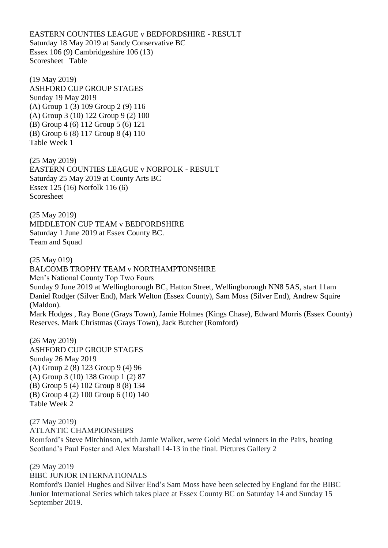EASTERN COUNTIES LEAGUE v BEDFORDSHIRE - RESULT Saturday 18 May 2019 at Sandy Conservative BC Essex 106 (9) Cambridgeshire 106 (13) Scoresheet Table

(19 May 2019) ASHFORD CUP GROUP STAGES Sunday 19 May 2019 (A) Group 1 (3) 109 Group 2 (9) 116 (A) Group 3 (10) 122 Group 9 (2) 100 (B) Group 4 (6) 112 Group 5 (6) 121 (B) Group 6 (8) 117 Group 8 (4) 110 Table Week 1

(25 May 2019) EASTERN COUNTIES LEAGUE v NORFOLK - RESULT Saturday 25 May 2019 at County Arts BC Essex 125 (16) Norfolk 116 (6) Scoresheet

(25 May 2019) MIDDLETON CUP TEAM v BEDFORDSHIRE Saturday 1 June 2019 at Essex County BC. Team and Squad

(25 May 019) BALCOMB TROPHY TEAM v NORTHAMPTONSHIRE Men's National County Top Two Fours Sunday 9 June 2019 at Wellingborough BC, Hatton Street, Wellingborough NN8 5AS, start 11am Daniel Rodger (Silver End), Mark Welton (Essex County), Sam Moss (Silver End), Andrew Squire (Maldon). Mark Hodges , Ray Bone (Grays Town), Jamie Holmes (Kings Chase), Edward Morris (Essex County) Reserves. Mark Christmas (Grays Town), Jack Butcher (Romford)

(26 May 2019) ASHFORD CUP GROUP STAGES Sunday 26 May 2019 (A) Group 2 (8) 123 Group 9 (4) 96 (A) Group 3 (10) 138 Group 1 (2) 87 (B) Group 5 (4) 102 Group 8 (8) 134 (B) Group 4 (2) 100 Group 6 (10) 140 Table Week 2

(27 May 2019) ATLANTIC CHAMPIONSHIPS

Romford's Steve Mitchinson, with Jamie Walker, were Gold Medal winners in the Pairs, beating Scotland's Paul Foster and Alex Marshall 14-13 in the final. Pictures Gallery 2

(29 May 2019 BIBC JUNIOR INTERNATIONALS

Romford's Daniel Hughes and Silver End's Sam Moss have been selected by England for the BIBC Junior International Series which takes place at Essex County BC on Saturday 14 and Sunday 15 September 2019.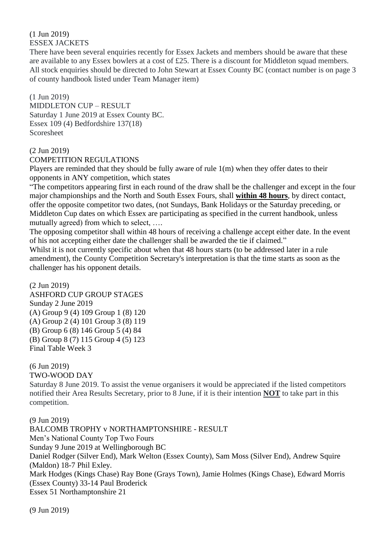(1 Jun 2019) ESSEX JACKETS

There have been several enquiries recently for Essex Jackets and members should be aware that these are available to any Essex bowlers at a cost of £25. There is a discount for Middleton squad members. All stock enquiries should be directed to John Stewart at Essex County BC (contact number is on page 3 of county handbook listed under Team Manager item)

## (1 Jun 2019)

MIDDLETON CUP – RESULT Saturday 1 June 2019 at Essex County BC. Essex 109 (4) Bedfordshire 137(18) Scoresheet

## (2 Jun 2019)

#### COMPETITION REGULATIONS

Players are reminded that they should be fully aware of rule 1(m) when they offer dates to their opponents in ANY competition, which states

"The competitors appearing first in each round of the draw shall be the challenger and except in the four major championships and the North and South Essex Fours, shall **within 48 hours**, by direct contact, offer the opposite competitor two dates, (not Sundays, Bank Holidays or the Saturday preceding, or Middleton Cup dates on which Essex are participating as specified in the current handbook, unless mutually agreed) from which to select, ….

The opposing competitor shall within 48 hours of receiving a challenge accept either date. In the event of his not accepting either date the challenger shall be awarded the tie if claimed."

Whilst it is not currently specific about when that 48 hours starts (to be addressed later in a rule amendment), the County Competition Secretary's interpretation is that the time starts as soon as the challenger has his opponent details.

#### (2 Jun 2019)

ASHFORD CUP GROUP STAGES Sunday 2 June 2019 (A) Group 9 (4) 109 Group 1 (8) 120 (A) Group 2 (4) 101 Group 3 (8) 119 (B) Group 6 (8) 146 Group 5 (4) 84 (B) Group 8 (7) 115 Group 4 (5) 123 Final Table Week 3

# (6 Jun 2019)

## TWO-WOOD DAY

Saturday 8 June 2019. To assist the venue organisers it would be appreciated if the listed competitors notified their Area Results Secretary, prior to 8 June, if it is their intention **NOT** to take part in this competition.

(9 Jun 2019)

BALCOMB TROPHY v NORTHAMPTONSHIRE - RESULT

Men's National County Top Two Fours

Sunday 9 June 2019 at Wellingborough BC

Daniel Rodger (Silver End), Mark Welton (Essex County), Sam Moss (Silver End), Andrew Squire (Maldon) 18-7 Phil Exley.

Mark Hodges (Kings Chase) Ray Bone (Grays Town), Jamie Holmes (Kings Chase), Edward Morris (Essex County) 33-14 Paul Broderick

Essex 51 Northamptonshire 21

(9 Jun 2019)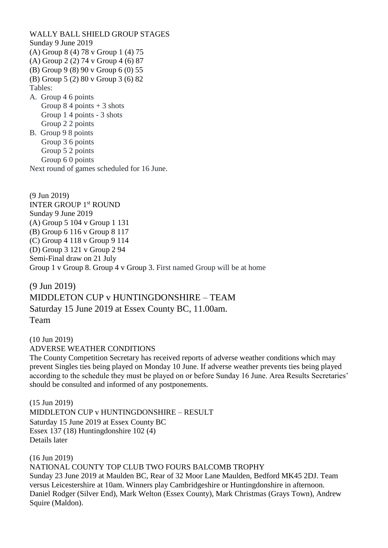WALLY BALL SHIELD GROUP STAGES Sunday 9 June 2019 (A) Group 8 (4) 78 v Group 1 (4) 75 (A) Group 2 (2) 74 v Group 4 (6) 87 (B) Group 9 (8) 90 v Group 6 (0) 55 (B) Group 5 (2) 80 v Group 3 (6) 82 Tables: A. Group 4 6 points Group  $84$  points  $+3$  shots Group 1 4 points - 3 shots Group 2 2 points B. Group 9 8 points Group 3 6 points Group 5 2 points Group 6 0 points Next round of games scheduled for 16 June.

(9 Jun 2019) INTER GROUP 1st ROUND Sunday 9 June 2019 (A) Group 5 104 v Group 1 131 (B) Group 6 116 v Group 8 117 (C) Group 4 118 v Group 9 114 (D) Group 3 121 v Group 2 94 Semi-Final draw on 21 July Group 1 v Group 8. Group 4 v Group 3. First named Group will be at home

(9 Jun 2019) MIDDLETON CUP v HUNTINGDONSHIRE – TEAM Saturday 15 June 2019 at Essex County BC, 11.00am. Team

(10 Jun 2019) ADVERSE WEATHER CONDITIONS

The County Competition Secretary has received reports of adverse weather conditions which may prevent Singles ties being played on Monday 10 June. If adverse weather prevents ties being played according to the schedule they must be played on or before Sunday 16 June. Area Results Secretaries' should be consulted and informed of any postponements.

(15 Jun 2019) MIDDLETON CUP v HUNTINGDONSHIRE – RESULT Saturday 15 June 2019 at Essex County BC Essex 137 (18) Huntingdonshire 102 (4) Details later

(16 Jun 2019) NATIONAL COUNTY TOP CLUB TWO FOURS BALCOMB TROPHY Sunday 23 June 2019 at Maulden BC, Rear of 32 Moor Lane Maulden, Bedford MK45 2DJ. Team versus Leicestershire at 10am. Winners play Cambridgeshire or Huntingdonshire in afternoon. Daniel Rodger (Silver End), Mark Welton (Essex County), Mark Christmas (Grays Town), Andrew Squire (Maldon).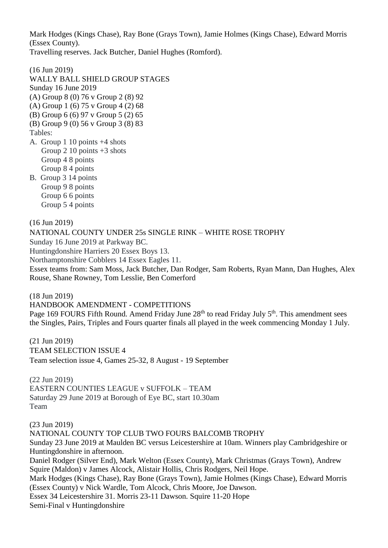Mark Hodges (Kings Chase), Ray Bone (Grays Town), Jamie Holmes (Kings Chase), Edward Morris (Essex County).

Travelling reserves. Jack Butcher, Daniel Hughes (Romford).

(16 Jun 2019) WALLY BALL SHIELD GROUP STAGES Sunday 16 June 2019 (A) Group 8 (0) 76 v Group 2 (8) 92 (A) Group 1 (6) 75 v Group 4 (2) 68 (B) Group 6 (6) 97 v Group 5 (2) 65 (B) Group 9 (0) 56 v Group 3 (8) 83 Tables: A. Group 1 10 points +4 shots Group 2 10 points  $+3$  shots Group 4 8 points Group 8 4 points B. Group 3 14 points Group 9 8 points Group 6 6 points Group 5 4 points

(16 Jun 2019)

NATIONAL COUNTY UNDER 25s SINGLE RINK – WHITE ROSE TROPHY

Sunday 16 June 2019 at Parkway BC.

Huntingdonshire Harriers 20 Essex Boys 13. Northamptonshire Cobblers 14 Essex Eagles 11.

Essex teams from: Sam Moss, Jack Butcher, Dan Rodger, Sam Roberts, Ryan Mann, Dan Hughes, Alex Rouse, Shane Rowney, Tom Lesslie, Ben Comerford

(18 Jun 2019)

HANDBOOK AMENDMENT - COMPETITIONS

Page 169 FOURS Fifth Round. Amend Friday June 28<sup>th</sup> to read Friday July 5<sup>th</sup>. This amendment sees the Singles, Pairs, Triples and Fours quarter finals all played in the week commencing Monday 1 July.

(21 Jun 2019) TEAM SELECTION ISSUE 4 Team selection issue 4, Games 25-32, 8 August - 19 September

(22 Jun 2019) EASTERN COUNTIES LEAGUE v SUFFOLK – TEAM Saturday 29 June 2019 at Borough of Eye BC, start 10.30am Team

(23 Jun 2019)

NATIONAL COUNTY TOP CLUB TWO FOURS BALCOMB TROPHY Sunday 23 June 2019 at Maulden BC versus Leicestershire at 10am. Winners play Cambridgeshire or Huntingdonshire in afternoon. Daniel Rodger (Silver End), Mark Welton (Essex County), Mark Christmas (Grays Town), Andrew Squire (Maldon) v James Alcock, Alistair Hollis, Chris Rodgers, Neil Hope. Mark Hodges (Kings Chase), Ray Bone (Grays Town), Jamie Holmes (Kings Chase), Edward Morris (Essex County) v Nick Wardle, Tom Alcock, Chris Moore, Joe Dawson. Essex 34 Leicestershire 31. Morris 23-11 Dawson. Squire 11-20 Hope Semi-Final v Huntingdonshire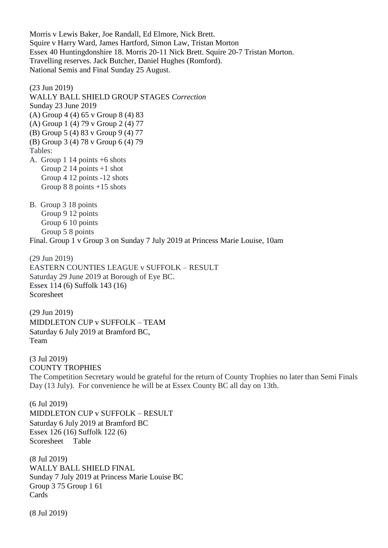Morris v Lewis Baker, Joe Randall, Ed Elmore, Nick Brett. Squire v Harry Ward, James Hartford, Simon Law, Tristan Morton Essex 40 Huntingdonshire 18. Morris 20-11 Nick Brett. Squire 20-7 Tristan Morton. Travelling reserves. Jack Butcher, Daniel Hughes (Romford). National Semis and Final Sunday 25 August.

(23 Jun 2019) WALLY BALL SHIELD GROUP STAGES *Correction* Sunday 23 June 2019 (A) Group 4 (4) 65 v Group 8 (4) 83 (A) Group 1 (4) 79 v Group 2 (4) 77 (B) Group 5 (4) 83 v Group 9 (4) 77 (B) Group 3 (4) 78 v Group 6 (4) 79 Tables: A. Group 1 14 points +6 shots Group 2 14 points +1 shot Group 4 12 points -12 shots Group 8 8 points +15 shots B. Group 3 18 points Group 9 12 points Group 6 10 points Group 5 8 points

Final. Group 1 v Group 3 on Sunday 7 July 2019 at Princess Marie Louise, 10am

(29 Jun 2019) EASTERN COUNTIES LEAGUE v SUFFOLK – RESULT Saturday 29 June 2019 at Borough of Eye BC. Essex 114 (6) Suffolk 143 (16) Scoresheet

(29 Jun 2019) MIDDLETON CUP v SUFFOLK – TEAM Saturday 6 July 2019 at Bramford BC, Team

(3 Jul 2019) COUNTY TROPHIES The Competition Secretary would be grateful for the return of County Trophies no later than Semi Finals Day (13 July). For convenience he will be at Essex County BC all day on 13th.

(6 Jul 2019) MIDDLETON CUP v SUFFOLK – RESULT Saturday 6 July 2019 at Bramford BC Essex 126 (16) Suffolk 122 (6) Scoresheet Table

(8 Jul 2019) WALLY BALL SHIELD FINAL Sunday 7 July 2019 at Princess Marie Louise BC Group 3 75 Group 1 61 Cards

(8 Jul 2019)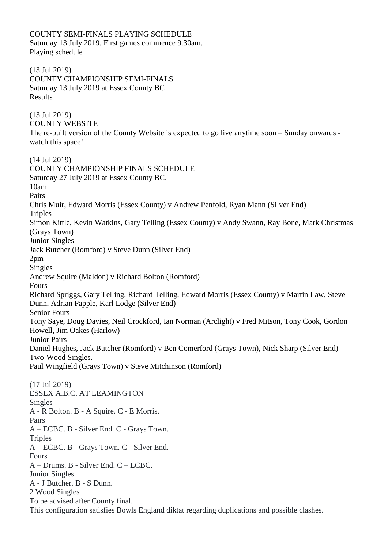COUNTY SEMI-FINALS PLAYING SCHEDULE Saturday 13 July 2019. First games commence 9.30am. Playing schedule

(13 Jul 2019) COUNTY CHAMPIONSHIP SEMI-FINALS Saturday 13 July 2019 at Essex County BC Results

(13 Jul 2019) COUNTY WEBSITE The re-built version of the County Website is expected to go live anytime soon – Sunday onwards watch this space!

(14 Jul 2019) COUNTY CHAMPIONSHIP FINALS SCHEDULE Saturday 27 July 2019 at Essex County BC. 10am Pairs Chris Muir, Edward Morris (Essex County) v Andrew Penfold, Ryan Mann (Silver End) **Triples** Simon Kittle, Kevin Watkins, Gary Telling (Essex County) v Andy Swann, Ray Bone, Mark Christmas (Grays Town) Junior Singles Jack Butcher (Romford) v Steve Dunn (Silver End) 2pm Singles Andrew Squire (Maldon) v Richard Bolton (Romford) Fours Richard Spriggs, Gary Telling, Richard Telling, Edward Morris (Essex County) v Martin Law, Steve Dunn, Adrian Papple, Karl Lodge (Silver End) Senior Fours Tony Saye, Doug Davies, Neil Crockford, Ian Norman (Arclight) v Fred Mitson, Tony Cook, Gordon Howell, Jim Oakes (Harlow) Junior Pairs Daniel Hughes, Jack Butcher (Romford) v Ben Comerford (Grays Town), Nick Sharp (Silver End) Two-Wood Singles. Paul Wingfield (Grays Town) v Steve Mitchinson (Romford) (17 Jul 2019) ESSEX A.B.C. AT LEAMINGTON Singles A - R Bolton. B - A Squire. C - E Morris. Pairs A – ECBC. B - Silver End. C - Grays Town. **Triples** A – ECBC. B - Grays Town. C - Silver End. Fours A – Drums. B - Silver End. C – ECBC. Junior Singles A - J Butcher. B - S Dunn. 2 Wood Singles To be advised after County final. This configuration satisfies Bowls England diktat regarding duplications and possible clashes.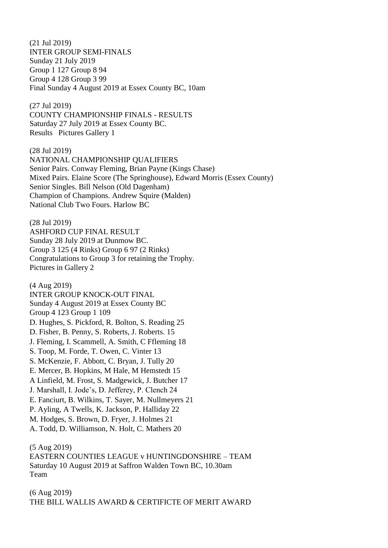(21 Jul 2019) INTER GROUP SEMI-FINALS Sunday 21 July 2019 Group 1 127 Group 8 94 Group 4 128 Group 3 99 Final Sunday 4 August 2019 at Essex County BC, 10am

(27 Jul 2019) COUNTY CHAMPIONSHIP FINALS - RESULTS Saturday 27 July 2019 at Essex County BC. Results Pictures Gallery 1

(28 Jul 2019) NATIONAL CHAMPIONSHIP QUALIFIERS Senior Pairs. Conway Fleming, Brian Payne (Kings Chase) Mixed Pairs. Elaine Score (The Springhouse), Edward Morris (Essex County) Senior Singles. Bill Nelson (Old Dagenham) Champion of Champions. Andrew Squire (Malden) National Club Two Fours. Harlow BC

(28 Jul 2019) ASHFORD CUP FINAL RESULT Sunday 28 July 2019 at Dunmow BC. Group 3 125 (4 Rinks) Group 6 97 (2 Rinks) Congratulations to Group 3 for retaining the Trophy. Pictures in Gallery 2

(4 Aug 2019) INTER GROUP KNOCK-OUT FINAL Sunday 4 August 2019 at Essex County BC Group 4 123 Group 1 109 D. Hughes, S. Pickford, R. Bolton, S. Reading 25 D. Fisher, B. Penny, S. Roberts, J. Roberts. 15 J. Fleming, I. Scammell, A. Smith, C Ffleming 18 S. Toop, M. Forde, T. Owen, C. Vinter 13 S. McKenzie, F. Abbott, C. Bryan, J. Tully 20 E. Mercer, B. Hopkins, M Hale, M Hemstedt 15 A Linfield, M. Frost, S. Madgewick, J. Butcher 17 J. Marshall, I. Jode's, D. Jefferey, P. Clench 24 E. Fanciurt, B. Wilkins, T. Sayer, M. Nullmeyers 21 P. Ayling, A Twells, K. Jackson, P. Halliday 22 M. Hodges, S. Brown, D. Fryer, J. Holmes 21 A. Todd, D. Williamson, N. Holt, C. Mathers 20

(5 Aug 2019) EASTERN COUNTIES LEAGUE v HUNTINGDONSHIRE – TEAM Saturday 10 August 2019 at Saffron Walden Town BC, 10.30am Team

(6 Aug 2019) THE BILL WALLIS AWARD & CERTIFICTE OF MERIT AWARD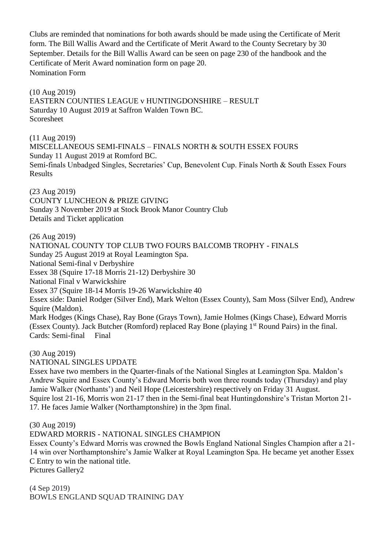Clubs are reminded that nominations for both awards should be made using the Certificate of Merit form. The Bill Wallis Award and the Certificate of Merit Award to the County Secretary by 30 September. Details for the Bill Wallis Award can be seen on page 230 of the handbook and the Certificate of Merit Award nomination form on page 20. Nomination Form

(10 Aug 2019) EASTERN COUNTIES LEAGUE v HUNTINGDONSHIRE – RESULT Saturday 10 August 2019 at Saffron Walden Town BC. Scoresheet

(11 Aug 2019) MISCELLANEOUS SEMI-FINALS – FINALS NORTH & SOUTH ESSEX FOURS Sunday 11 August 2019 at Romford BC. Semi-finals Unbadged Singles, Secretaries' Cup, Benevolent Cup. Finals North & South Essex Fours Results

(23 Aug 2019) COUNTY LUNCHEON & PRIZE GIVING Sunday 3 November 2019 at Stock Brook Manor Country Club Details and Ticket application

(26 Aug 2019) NATIONAL COUNTY TOP CLUB TWO FOURS BALCOMB TROPHY - FINALS Sunday 25 August 2019 at Royal Leamington Spa. National Semi-final v Derbyshire Essex 38 (Squire 17-18 Morris 21-12) Derbyshire 30 National Final v Warwickshire Essex 37 (Squire 18-14 Morris 19-26 Warwickshire 40 Essex side: Daniel Rodger (Silver End), Mark Welton (Essex County), Sam Moss (Silver End), Andrew Squire (Maldon). Mark Hodges (Kings Chase), Ray Bone (Grays Town), Jamie Holmes (Kings Chase), Edward Morris (Essex County). Jack Butcher (Romford) replaced Ray Bone (playing 1<sup>st</sup> Round Pairs) in the final. Cards: Semi-final Final

(30 Aug 2019)

NATIONAL SINGLES UPDATE

Essex have two members in the Quarter-finals of the National Singles at Leamington Spa. Maldon's Andrew Squire and Essex County's Edward Morris both won three rounds today (Thursday) and play Jamie Walker (Northants') and Neil Hope (Leicestershire) respectively on Friday 31 August. Squire lost 21-16, Morris won 21-17 then in the Semi-final beat Huntingdonshire's Tristan Morton 21- 17. He faces Jamie Walker (Northamptonshire) in the 3pm final.

(30 Aug 2019)

EDWARD MORRIS - NATIONAL SINGLES CHAMPION

Essex County's Edward Morris was crowned the Bowls England National Singles Champion after a 21- 14 win over Northamptonshire's Jamie Walker at Royal Leamington Spa. He became yet another Essex C Entry to win the national title.

Pictures Gallery2

(4 Sep 2019) BOWLS ENGLAND SQUAD TRAINING DAY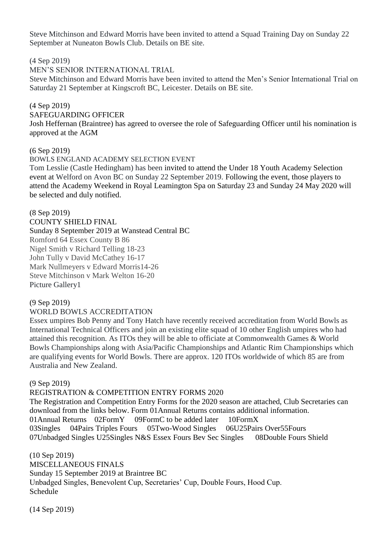Steve Mitchinson and Edward Morris have been invited to attend a Squad Training Day on Sunday 22 September at Nuneaton Bowls Club. Details on BE site.

(4 Sep 2019)

MEN'S SENIOR INTERNATIONAL TRIAL

Steve Mitchinson and Edward Morris have been invited to attend the Men's Senior International Trial on Saturday 21 September at Kingscroft BC, Leicester. Details on BE site.

#### (4 Sep 2019)

#### SAFEGUARDING OFFICER

Josh Heffernan (Braintree) has agreed to oversee the role of Safeguarding Officer until his nomination is approved at the AGM

#### (6 Sep 2019)

BOWLS ENGLAND ACADEMY SELECTION EVENT

Tom Lesslie (Castle Hedingham) has been invited to attend the Under 18 Youth Academy Selection event at Welford on Avon BC on Sunday 22 September 2019. Following the event, those players to attend the Academy Weekend in Royal Leamington Spa on Saturday 23 and Sunday 24 May 2020 will be selected and duly notified.

#### (8 Sep 2019)

COUNTY SHIELD FINAL Sunday 8 September 2019 at Wanstead Central BC Romford 64 Essex County B 86 Nigel Smith v Richard Telling 18-23 John Tully v David McCathey 16-17 Mark Nullmeyers v Edward Morris14-26 Steve Mitchinson v Mark Welton 16-20 Picture Gallery1

#### (9 Sep 2019)

## WORLD BOWLS ACCREDITATION

Essex umpires Bob Penny and Tony Hatch have recently received accreditation from World Bowls as International Technical Officers and join an existing elite squad of 10 other English umpires who had attained this recognition. As ITOs they will be able to officiate at Commonwealth Games & World Bowls Championships along with Asia/Pacific Championships and Atlantic Rim Championships which are qualifying events for World Bowls. There are approx. 120 ITOs worldwide of which 85 are from Australia and New Zealand.

## (9 Sep 2019)

#### REGISTRATION & COMPETITION ENTRY FORMS 2020

The Registration and Competition Entry Forms for the 2020 season are attached, Club Secretaries can download from the links below. Form 01Annual Returns contains additional information. 01Annual Returns 02FormY 09FormC to be added later 10FormX 03Singles 04Pairs Triples Fours 05Two-Wood Singles 06U25Pairs Over55Fours 07Unbadged Singles U25Singles N&S Essex Fours Bev Sec Singles 08Double Fours Shield

(10 Sep 2019) MISCELLANEOUS FINALS Sunday 15 September 2019 at Braintree BC Unbadged Singles, Benevolent Cup, Secretaries' Cup, Double Fours, Hood Cup. Schedule

(14 Sep 2019)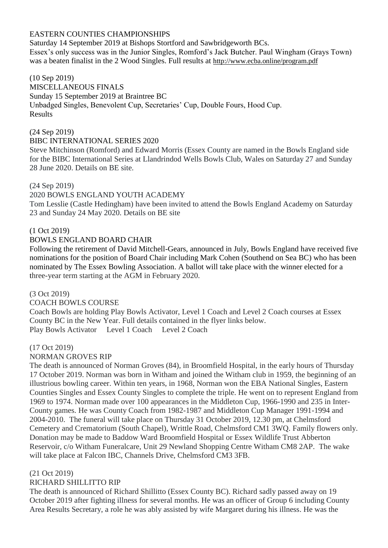## EASTERN COUNTIES CHAMPIONSHIPS

Saturday 14 September 2019 at Bishops Stortford and Sawbridgeworth BCs. Essex's only success was in the Junior Singles, Romford's Jack Butcher. Paul Wingham (Grays Town) was a beaten finalist in the 2 Wood Singles. Full results at <http://www.ecba.online/program.pdf>

## (10 Sep 2019)

MISCELLANEOUS FINALS Sunday 15 September 2019 at Braintree BC Unbadged Singles, Benevolent Cup, Secretaries' Cup, Double Fours, Hood Cup. Results

## (24 Sep 2019)

#### BIBC INTERNATIONAL SERIES 2020

Steve Mitchinson (Romford) and Edward Morris (Essex County are named in the Bowls England side for the BIBC International Series at Llandrindod Wells Bowls Club, Wales on Saturday 27 and Sunday 28 June 2020. Details on BE site.

#### (24 Sep 2019)

#### 2020 BOWLS ENGLAND YOUTH ACADEMY

Tom Lesslie (Castle Hedingham) have been invited to attend the Bowls England Academy on Saturday 23 and Sunday 24 May 2020. Details on BE site

#### (1 Oct 2019)

#### BOWLS ENGLAND BOARD CHAIR

Following the retirement of David Mitchell-Gears, announced in July, Bowls England have received five nominations for the position of Board Chair including Mark Cohen (Southend on Sea BC) who has been nominated by The Essex Bowling Association. A ballot will take place with the winner elected for a three-year term starting at the AGM in February 2020.

#### (3 Oct 2019)

#### COACH BOWLS COURSE

Coach Bowls are holding Play Bowls Activator, Level 1 Coach and Level 2 Coach courses at Essex County BC in the New Year. Full details contained in the flyer links below. Play Bowls Activator Level 1 Coach Level 2 Coach

#### (17 Oct 2019)

## NORMAN GROVES RIP

The death is announced of Norman Groves (84), in Broomfield Hospital, in the early hours of Thursday 17 October 2019. Norman was born in Witham and joined the Witham club in 1959, the beginning of an illustrious bowling career. Within ten years, in 1968, Norman won the EBA National Singles, Eastern Counties Singles and Essex County Singles to complete the triple. He went on to represent England from 1969 to 1974. Norman made over 100 appearances in the Middleton Cup, 1966-1990 and 235 in Inter-County games. He was County Coach from 1982-1987 and Middleton Cup Manager 1991-1994 and 2004-2010. The funeral will take place on Thursday 31 October 2019, 12.30 pm, at Chelmsford Cemetery and Crematorium (South Chapel), Writtle Road, Chelmsford CM1 3WQ. Family flowers only. Donation may be made to Baddow Ward Broomfield Hospital or Essex Wildlife Trust Abberton Reservoir, c/o Witham Funeralcare, Unit 29 Newland Shopping Centre Witham CM8 2AP. The wake will take place at Falcon IBC, Channels Drive, Chelmsford CM3 3FB.

#### (21 Oct 2019)

## RICHARD SHILLITTO RIP

The death is announced of Richard Shillitto (Essex County BC). Richard sadly passed away on 19 October 2019 after fighting illness for several months. He was an officer of Group 6 including County Area Results Secretary, a role he was ably assisted by wife Margaret during his illness. He was the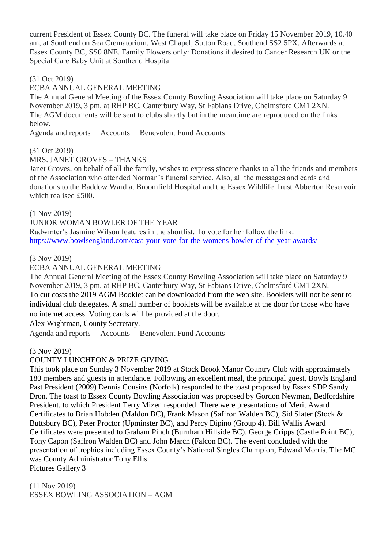current President of Essex County BC. The funeral will take place on Friday 15 November 2019, 10.40 am, at Southend on Sea Crematorium, West Chapel, Sutton Road, Southend SS2 5PX. Afterwards at Essex County BC, SS0 8NE. Family Flowers only: Donations if desired to Cancer Research UK or the Special Care Baby Unit at Southend Hospital

## (31 Oct 2019)

## ECBA ANNUAL GENERAL MEETING

The Annual General Meeting of the Essex County Bowling Association will take place on Saturday 9 November 2019, 3 pm, at RHP BC, Canterbury Way, St Fabians Drive, Chelmsford CM1 2XN. The AGM documents will be sent to clubs shortly but in the meantime are reproduced on the links below.

Agenda and reports Accounts Benevolent Fund Accounts

#### (31 Oct 2019)

MRS. JANET GROVES – THANKS

Janet Groves, on behalf of all the family, wishes to express sincere thanks to all the friends and members of the Association who attended Norman's funeral service. Also, all the messages and cards and donations to the Baddow Ward at Broomfield Hospital and the Essex Wildlife Trust Abberton Reservoir which realised £500.

(1 Nov 2019)

JUNIOR WOMAN BOWLER OF THE YEAR

Radwinter's Jasmine Wilson features in the shortlist. To vote for her follow the link: <https://www.bowlsengland.com/cast-your-vote-for-the-womens-bowler-of-the-year-awards/>

#### (3 Nov 2019)

## ECBA ANNUAL GENERAL MEETING

The Annual General Meeting of the Essex County Bowling Association will take place on Saturday 9 November 2019, 3 pm, at RHP BC, Canterbury Way, St Fabians Drive, Chelmsford CM1 2XN. To cut costs the 2019 AGM Booklet can be downloaded from the web site. Booklets will not be sent to individual club delegates. A small number of booklets will be available at the door for those who have no internet access. Voting cards will be provided at the door.

Alex Wightman, County Secretary.

Agenda and reports Accounts Benevolent Fund Accounts

#### (3 Nov 2019)

## COUNTY LUNCHEON & PRIZE GIVING

This took place on Sunday 3 November 2019 at Stock Brook Manor Country Club with approximately 180 members and guests in attendance. Following an excellent meal, the principal guest, Bowls England Past President (2009) Dennis Cousins (Norfolk) responded to the toast proposed by Essex SDP Sandy Dron. The toast to Essex County Bowling Association was proposed by Gordon Newman, Bedfordshire President, to which President Terry Mizen responded. There were presentations of Merit Award Certificates to Brian Hobden (Maldon BC), Frank Mason (Saffron Walden BC), Sid Slater (Stock & Buttsbury BC), Peter Proctor (Upminster BC), and Percy Dipino (Group 4). Bill Wallis Award Certificates were presented to Graham Pinch (Burnham Hillside BC), George Cripps (Castle Point BC), Tony Capon (Saffron Walden BC) and John March (Falcon BC). The event concluded with the presentation of trophies including Essex County's National Singles Champion, Edward Morris. The MC was County Administrator Tony Ellis. Pictures Gallery 3

(11 Nov 2019) ESSEX BOWLING ASSOCIATION – AGM